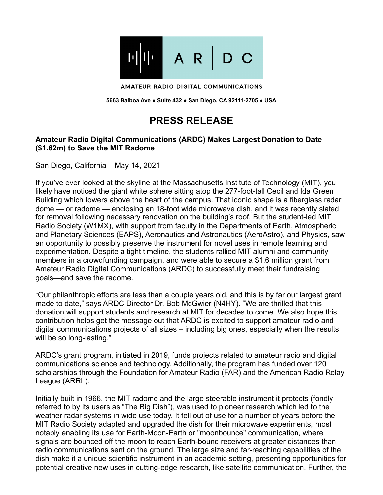

AMATEUR RADIO DIGITAL COMMUNICATIONS

**5663 Balboa Ave ● Suite 432 ● San Diego, CA 92111-2705 ● USA**

## **PRESS RELEASE**

## **Amateur Radio Digital Communications (ARDC) Makes Largest Donation to Date (\$1.62m) to Save the MIT Radome**

San Diego, California – May 14, 2021

If you've ever looked at the skyline at the Massachusetts Institute of Technology (MIT), you likely have noticed the giant white sphere sitting atop the 277-foot-tall Cecil and Ida Green Building which towers above the heart of the campus. That iconic shape is a fiberglass radar dome — or radome — enclosing an 18-foot wide microwave dish, and it was recently slated for removal following necessary renovation on the building's roof. But the student-led MIT Radio Society (W1MX), with support from faculty in the Departments of Earth, Atmospheric and Planetary Sciences (EAPS), Aeronautics and Astronautics (AeroAstro), and Physics, saw an opportunity to possibly preserve the instrument for novel uses in remote learning and experimentation. Despite a tight timeline, the students rallied MIT alumni and community members in a crowdfunding campaign, and were able to secure a \$1.6 million grant from Amateur Radio Digital Communications (ARDC) to successfully meet their fundraising goals—and save the radome.

"Our philanthropic efforts are less than a couple years old, and this is by far our largest grant made to date," says ARDC Director Dr. Bob McGwier (N4HY). "We are thrilled that this donation will support students and research at MIT for decades to come. We also hope this contribution helps get the message out that ARDC is excited to support amateur radio and digital communications projects of all sizes – including big ones, especially when the results will be so long-lasting."

ARDC's grant program, initiated in 2019, funds projects related to amateur radio and digital communications science and technology. Additionally, the program has funded over 120 scholarships through the Foundation for Amateur Radio (FAR) and the American Radio Relay League (ARRL).

Initially built in 1966, the MIT radome and the large steerable instrument it protects (fondly referred to by its users as "The Big Dish"), was used to pioneer research which led to the weather radar systems in wide use today. It fell out of use for a number of years before the MIT Radio Society adapted and upgraded the dish for their microwave experiments, most notably enabling its use for Earth-Moon-Earth or "moonbounce" communication, where signals are bounced off the moon to reach Earth-bound receivers at greater distances than radio communications sent on the ground. The large size and far-reaching capabilities of the dish make it a unique scientific instrument in an academic setting, presenting opportunities for potential creative new uses in cutting-edge research, like satellite communication. Further, the